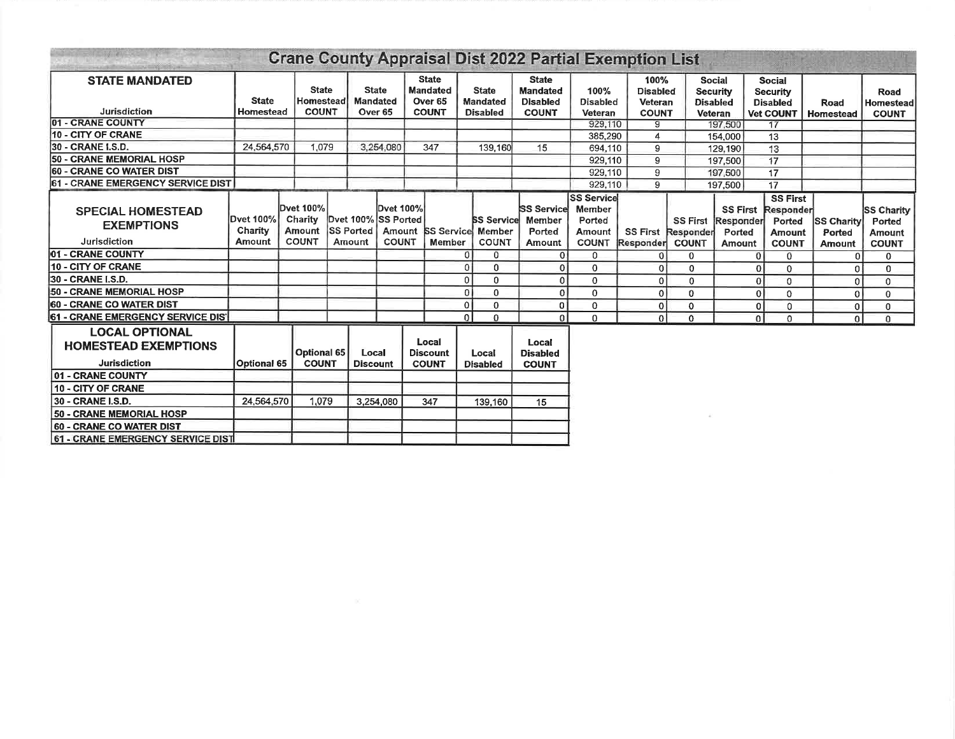|                                                                             |                                |                                                       |                                           |                            |                                                  |                                                                       |                |                                                    | <b>Crane County Appraisal Dist 2022 Partial Exemption List</b>     |                                                                        |                                                    |                                              |                                                                       |                                                                         |                                                                         |                                              |                                                       |
|-----------------------------------------------------------------------------|--------------------------------|-------------------------------------------------------|-------------------------------------------|----------------------------|--------------------------------------------------|-----------------------------------------------------------------------|----------------|----------------------------------------------------|--------------------------------------------------------------------|------------------------------------------------------------------------|----------------------------------------------------|----------------------------------------------|-----------------------------------------------------------------------|-------------------------------------------------------------------------|-------------------------------------------------------------------------|----------------------------------------------|-------------------------------------------------------|
| <b>STATE MANDATED</b><br>Jurisdiction                                       | <b>State</b><br>Homestead      |                                                       | <b>State</b><br>Homestead<br><b>COUNT</b> | <b>Mandated</b>            | <b>State</b><br>Over 65                          | <b>State</b><br><b>Mandated</b><br>Over <sub>65</sub><br><b>COUNT</b> |                | <b>State</b><br><b>Mandated</b><br><b>Disabled</b> | <b>State</b><br><b>Mandated</b><br><b>Disabled</b><br><b>COUNT</b> | 100%<br><b>Disabled</b><br><b>Veteran</b>                              | 100%<br><b>Disabled</b><br>Veteran<br><b>COUNT</b> |                                              | <b>Social</b><br><b>Security</b><br><b>Disabled</b><br><b>Veteran</b> | <b>Social</b><br><b>Security</b><br><b>Disabled</b><br><b>Vet COUNT</b> |                                                                         | Road<br><b>Homestead</b>                     | Road<br><b>Homestead</b><br><b>COUNT</b>              |
| - CRANE COUNTY<br>101                                                       |                                |                                                       |                                           |                            |                                                  |                                                                       |                |                                                    |                                                                    | 929,110                                                                | g                                                  |                                              | 197,500                                                               |                                                                         | 17                                                                      |                                              |                                                       |
| 10 - CITY OF CRANE                                                          |                                |                                                       |                                           |                            |                                                  |                                                                       |                |                                                    |                                                                    | 385,290                                                                | 4                                                  |                                              | 154,000                                                               |                                                                         | 13                                                                      |                                              |                                                       |
| 30 - CRANE I.S.D.                                                           | 24,564,570                     |                                                       | 1.079                                     |                            | 3,254,080                                        | 347                                                                   |                | 139,160                                            | 15                                                                 | 694,110                                                                | 9                                                  |                                              | 129,190                                                               | 13                                                                      |                                                                         |                                              |                                                       |
| 50 - CRANE MEMORIAL HOSP                                                    |                                |                                                       |                                           |                            |                                                  |                                                                       |                |                                                    |                                                                    | 929,110                                                                | 9                                                  |                                              | 197,500                                                               | $\overline{17}$                                                         |                                                                         |                                              |                                                       |
| <b>60 - CRANE CO WATER DIST</b>                                             |                                |                                                       |                                           |                            |                                                  |                                                                       |                |                                                    |                                                                    | 929,110                                                                | 9                                                  |                                              | 197,500                                                               | $\overline{17}$                                                         |                                                                         |                                              |                                                       |
| - CRANE EMERGENCY SERVICE DIST<br>61                                        |                                |                                                       |                                           |                            |                                                  |                                                                       |                |                                                    |                                                                    | 929.110                                                                | 9                                                  |                                              | 197,500                                                               |                                                                         | 17                                                                      |                                              |                                                       |
| <b>SPECIAL HOMESTEAD</b><br><b>EXEMPTIONS</b><br>Jurisdiction               | Dvet 100%<br>Charity<br>Amount | Dvet 100%<br><b>Charity</b><br>Amount<br><b>COUNT</b> |                                           | <b>SS Ported</b><br>Amount | Dvet 100%<br>Dvet 100% SS Ported<br><b>COUNT</b> | Amount <b>ISS</b> Service                                             | <b>Member</b>  | <b>Member</b><br><b>COUNT</b>                      | <b>SS Service</b><br><b>BS Service Member</b><br>Ported<br>Amount  | <b>SS Service</b><br>Member<br>Ported<br><b>Amount</b><br><b>COUNT</b> | <b>SS First</b><br>Responder                       | <b>SS First</b><br>Responder<br><b>COUNT</b> | <b>SS First</b><br>Responder<br>Ported<br><b>Amount</b>               |                                                                         | <b>SS First</b><br>Responder<br>Ported<br><b>Amount</b><br><b>COUNT</b> | <b>SS Charity</b><br>Ported<br><b>Amount</b> | <b>SS Charity</b><br>Ported<br>Amount<br><b>COUNT</b> |
| 01 - CRANE COUNTY                                                           |                                |                                                       |                                           |                            |                                                  |                                                                       |                | Ωl<br>$\Omega$                                     | $\overline{0}$                                                     | $\mathbf{0}$                                                           |                                                    | 0                                            |                                                                       | $\Omega$                                                                | 0                                                                       | $\Omega$                                     | 0                                                     |
| 10 - CITY OF CRANE                                                          |                                |                                                       |                                           |                            |                                                  |                                                                       | $\overline{0}$ | $\mathbf{0}$                                       | $\overline{0}$                                                     | $\mathbf 0$                                                            | $\overline{0}$                                     | 0                                            |                                                                       | $\overline{0}$                                                          | 0                                                                       |                                              | 0                                                     |
| 30 - CRANE I.S.D.                                                           |                                |                                                       |                                           |                            |                                                  |                                                                       | $\mathbf{0}$   | $\Omega$                                           | $\Omega$                                                           | 0                                                                      | $\Omega$                                           | 0                                            |                                                                       | $\mathbf{0}$                                                            | 0                                                                       | $\Omega$                                     | $\mathbf{0}$                                          |
| <b>50 - CRANE MEMORIAL HOSP</b>                                             |                                |                                                       |                                           |                            |                                                  |                                                                       |                | $\Omega$<br>$\Omega$                               | $\mathbf{0}$                                                       | $\mathbf{0}$                                                           | $\Omega$                                           | 0                                            |                                                                       | $\mathbf{0}$                                                            | 0                                                                       | $\Omega$                                     | $\mathbf{0}$                                          |
| <b>60 - CRANE CO WATER DIST</b>                                             |                                |                                                       |                                           |                            |                                                  |                                                                       | $\mathbf 0$    | $\mathbf 0$                                        | $\Omega$                                                           | $\mathbf 0$                                                            | $\Omega$                                           | 0                                            |                                                                       | 0                                                                       | 0                                                                       | $\mathbf 0$                                  | 0                                                     |
| 61 - CRANE EMERGENCY SERVICE DIS'                                           |                                |                                                       |                                           |                            |                                                  |                                                                       |                | $\overline{0}$<br>$\Omega$                         | $\Omega$                                                           | 0                                                                      | $\Omega$                                           | $\Omega$                                     |                                                                       | 0                                                                       | $\mathbf{0}$                                                            | ٥I                                           | $\mathbf{0}$                                          |
| <b>LOCAL OPTIONAL</b><br><b>HOMESTEAD EXEMPTIONS</b><br><b>Jurisdiction</b> | Optional 65                    |                                                       | <b>Optional 65</b><br><b>COUNT</b>        | Local<br><b>Discount</b>   |                                                  | Local<br><b>Discount</b><br><b>COUNT</b>                              |                | Local<br><b>Disabled</b>                           | Local<br><b>Disabled</b><br><b>COUNT</b>                           |                                                                        |                                                    |                                              |                                                                       |                                                                         |                                                                         |                                              |                                                       |
| <b>01 - CRANE COUNTY</b>                                                    |                                |                                                       |                                           |                            |                                                  |                                                                       |                |                                                    |                                                                    |                                                                        |                                                    |                                              |                                                                       |                                                                         |                                                                         |                                              |                                                       |
| 10 - CITY OF CRANE                                                          |                                |                                                       |                                           |                            |                                                  |                                                                       |                |                                                    |                                                                    |                                                                        |                                                    |                                              |                                                                       |                                                                         |                                                                         |                                              |                                                       |
| 30 - CRANE I.S.D.                                                           | 24,564,570                     |                                                       | 1,079                                     |                            | 3,254,080                                        | 347                                                                   |                | 139,160                                            | 15                                                                 |                                                                        |                                                    |                                              |                                                                       |                                                                         |                                                                         |                                              |                                                       |
| 50 - CRANE MEMORIAL HOSP                                                    |                                |                                                       |                                           |                            |                                                  |                                                                       |                |                                                    |                                                                    |                                                                        |                                                    |                                              |                                                                       |                                                                         |                                                                         |                                              |                                                       |
| <b>60 - CRANE CO WATER DIST</b>                                             |                                |                                                       |                                           |                            |                                                  |                                                                       |                |                                                    |                                                                    |                                                                        |                                                    |                                              |                                                                       |                                                                         |                                                                         |                                              |                                                       |
| <b>61 - CRANE EMERGENCY SERVICE DIST</b>                                    |                                |                                                       |                                           |                            |                                                  |                                                                       |                |                                                    |                                                                    |                                                                        |                                                    |                                              |                                                                       |                                                                         |                                                                         |                                              |                                                       |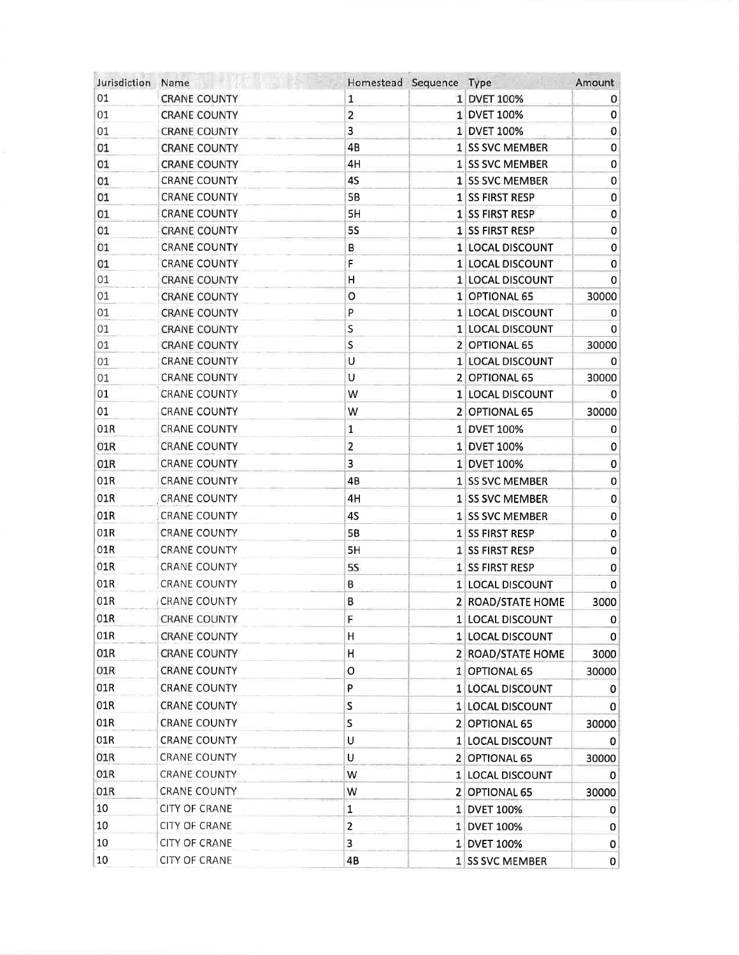| Jurisdiction | Name                 | Homestead Sequence      | Type              | Amount                      |
|--------------|----------------------|-------------------------|-------------------|-----------------------------|
| 01           | <b>CRANE COUNTY</b>  | 1                       | 1 DVET 100%       | 0                           |
| 01           | <b>CRANE COUNTY</b>  | 2                       | 1 DVET 100%       | 0                           |
| 01           | <b>CRANE COUNTY</b>  | 3                       | 1 DVET 100%       | $\pmb{0}$                   |
| 01           | <b>CRANE COUNTY</b>  | 4B                      | 1 SS SVC MEMBER   | 0                           |
| 01           | <b>CRANE COUNTY</b>  | 4H                      | 1 SS SVC MEMBER   | 0                           |
| 01           | <b>CRANE COUNTY</b>  | 4S                      | 1 SS SVC MEMBER   | 0                           |
| 01           | <b>CRANE COUNTY</b>  | 5B                      | 1 SS FIRST RESP   | 0                           |
| 01           | <b>CRANE COUNTY</b>  | 5H                      | 1 SS FIRST RESP   | 0                           |
| 01           | <b>CRANE COUNTY</b>  | <b>5S</b>               | 1 SS FIRST RESP   | 0                           |
| 01           | <b>CRANE COUNTY</b>  | В                       | 1 LOCAL DISCOUNT  | $\pmb{0}$                   |
| 01           | <b>CRANE COUNTY</b>  | F                       | 1 LOCAL DISCOUNT  | 0                           |
| 01           | <b>CRANE COUNTY</b>  | H                       | 1 LOCAL DISCOUNT  | 0                           |
| 01           | <b>CRANE COUNTY</b>  | O                       | 1 OPTIONAL 65     | 30000                       |
| 01           | <b>CRANE COUNTY</b>  | P                       | 1 LOCAL DISCOUNT  | 0                           |
| 01           | <b>CRANE COUNTY</b>  | $\sf S$                 | 1 LOCAL DISCOUNT  | 0                           |
| 01           | <b>CRANE COUNTY</b>  | $\sf S$                 | 2 OPTIONAL 65     | 30000                       |
| 01           | <b>CRANE COUNTY</b>  | U                       | 1 LOCAL DISCOUNT  | 0                           |
| 01           | <b>CRANE COUNTY</b>  | U                       | 2 OPTIONAL 65     | 30000                       |
| 01           | <b>CRANE COUNTY</b>  | W                       | 1 LOCAL DISCOUNT  | 0                           |
| 01           | <b>CRANE COUNTY</b>  | W                       | 2 OPTIONAL 65     | 30000                       |
| 01R          | <b>CRANE COUNTY</b>  | 1                       | 1 DVET 100%       | 0                           |
| 01R          | <b>CRANE COUNTY</b>  | $\overline{\mathbf{c}}$ | 1 DVET 100%       | $\pmb{0}$                   |
| 01R          | <b>CRANE COUNTY</b>  | 3                       | 1 DVET 100%       | 0                           |
| 01R          | <b>CRANE COUNTY</b>  | 4B                      | 1 SS SVC MEMBER   | $\pmb{0}$                   |
| 01R          | <b>CRANE COUNTY</b>  | 4H                      | 1 SS SVC MEMBER   | 0                           |
| 01R          | <b>CRANE COUNTY</b>  | 4S                      | 1 SS SVC MEMBER   | $\pmb{0}$                   |
| 01R          | <b>CRANE COUNTY</b>  | <b>5B</b>               | 1 SS FIRST RESP   | $\mathbf{O}$                |
| 01R          | <b>CRANE COUNTY</b>  | 5H                      | 1 SS FIRST RESP   | $\pmb{0}$                   |
| 01R          | <b>CRANE COUNTY</b>  | <b>5S</b>               | 1 SS FIRST RESP   | 0                           |
| 01R          | <b>CRANE COUNTY</b>  | B                       | 1 LOCAL DISCOUNT  | 0                           |
| 01R          | <b>CRANE COUNTY</b>  | B                       | 2 ROAD/STATE HOME | 3000                        |
| 01R          | <b>CRANE COUNTY</b>  | F                       | 1 LOCAL DISCOUNT  |                             |
| 01R          | <b>CRANE COUNTY</b>  | н                       | 1 LOCAL DISCOUNT  | $\mathbf 0$<br>$\mathbf{0}$ |
| 01R          | <b>CRANE COUNTY</b>  | Н                       |                   |                             |
| 01R          |                      |                         | 2 ROAD/STATE HOME | 3000                        |
|              | <b>CRANE COUNTY</b>  | O                       | 1 OPTIONAL 65     | 30000                       |
| 01R          | <b>CRANE COUNTY</b>  | P                       | 1 LOCAL DISCOUNT  | 0                           |
| 01R          | <b>CRANE COUNTY</b>  | S                       | 1 LOCAL DISCOUNT  | 0                           |
| 01R          | <b>CRANE COUNTY</b>  | S                       | 2 OPTIONAL 65     | 30000                       |
| 01R          | <b>CRANE COUNTY</b>  | U                       | 1 LOCAL DISCOUNT  | 0                           |
| 01R          | CRANE COUNTY         | U                       | 2 OPTIONAL 65     | 30000                       |
| 01R          | <b>CRANE COUNTY</b>  | W                       | 1 LOCAL DISCOUNT  | 0                           |
| 01R          | CRANE COUNTY         | W                       | 2 OPTIONAL 65     | 30000                       |
| 10           | <b>CITY OF CRANE</b> | $\mathbf 1$             | 1 DVET 100%       | 0                           |
| 10           | <b>CITY OF CRANE</b> | $\overline{\mathbf{c}}$ | 1 DVET 100%       | 0                           |
| 10           | <b>CITY OF CRANE</b> | 3                       | 1 DVET 100%       | $\mathbf 0$                 |
| 10           | CITY OF CRANE        | 4B                      | 1 SS SVC MEMBER   | 0                           |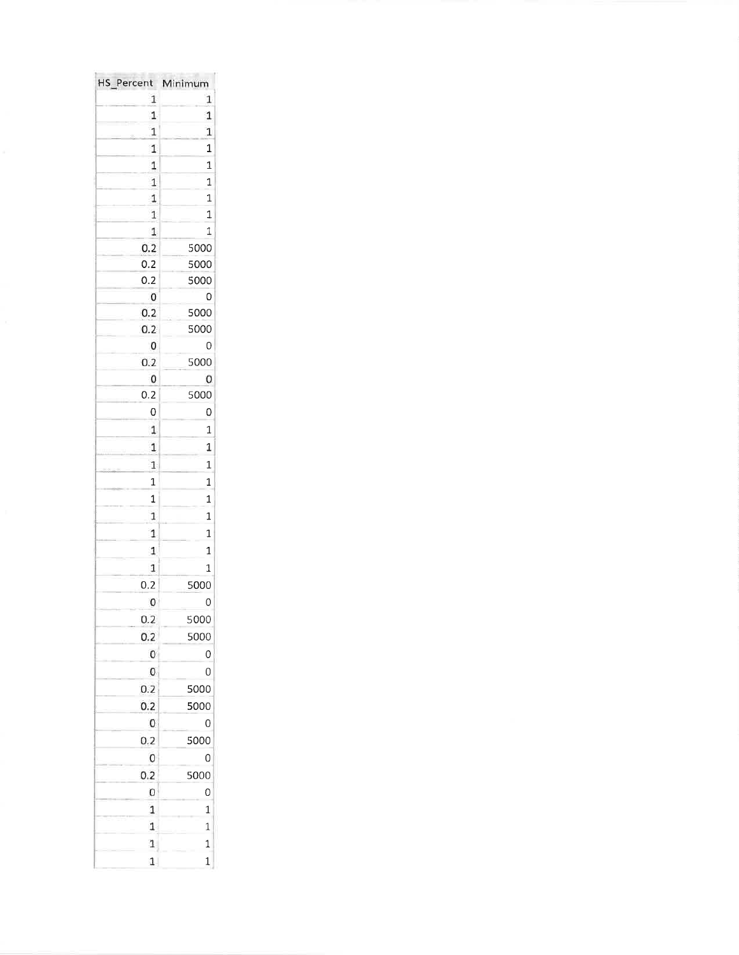| HS_Percent<br>$\mathbf{1}$ | Minimum<br>$\mathbf{1}$ |
|----------------------------|-------------------------|
|                            |                         |
| 1                          | $\mathbf{1}$            |
| 1                          | $\mathbf{1}$            |
| $\mathbf 1$                | $\mathbf{1}$            |
| $\mathbf{1}$               | $\overline{1}$          |
| $\overline{1}$             | 1                       |
| $\mathbf{1}$               | 1                       |
| $\mathbf 1$                | $\overline{1}$          |
| $\mathbf{1}$               | 1                       |
| 0.2                        | 5000                    |
| 0.2                        | 5000                    |
| 0.2                        | 5000                    |
| 0                          | 0                       |
| 0.2                        | 5000                    |
| 0.2                        | 5000                    |
| $\mathbf{O}$               | $\mathbf 0$             |
| 0.2                        | 5000                    |
| $\mathbf{0}$               | $\mathbf 0$             |
| 0.2                        | 5000                    |
| 0                          | 0                       |
| 1                          | 1                       |
| $\mathbf{1}$               | $\overline{1}$          |
| $\mathbf{1}$               | $\mathbf{1}$            |
| $\mathbf{1}$               | $\overline{1}$          |
| $\overline{1}$             | $\mathbf{1}$            |
|                            |                         |
| 1                          | $\mathbf{1}$            |
| $\,$ 1 $\,$                | $\overline{1}$          |
| $\mathbf 1$                | $\mathbf{1}$            |
| $\mathbf{1}$               | $\overline{1}$          |
| 0.2                        | 5000                    |
| 0                          | 0                       |
| 0.2                        | 5000                    |
| 0.2                        | 5000                    |
| 0                          | $\mathbf{O}$            |
| 0                          | 0                       |
| 0.2                        | 5000                    |
| 0.2                        | 5000                    |
| 0                          | 0                       |
|                            |                         |
| 0.2                        | 5000                    |
| 0                          | 0                       |
| 0.2                        | 5000                    |
| 0                          | O                       |
| $\mathbf{1}$               | $\mathbf{1}$            |
| $\mathbf 1$                | 1                       |
| $\,1$                      | $\mathbf{1}$            |
| $\mathbf{1}$               | $\mathbf{1}$            |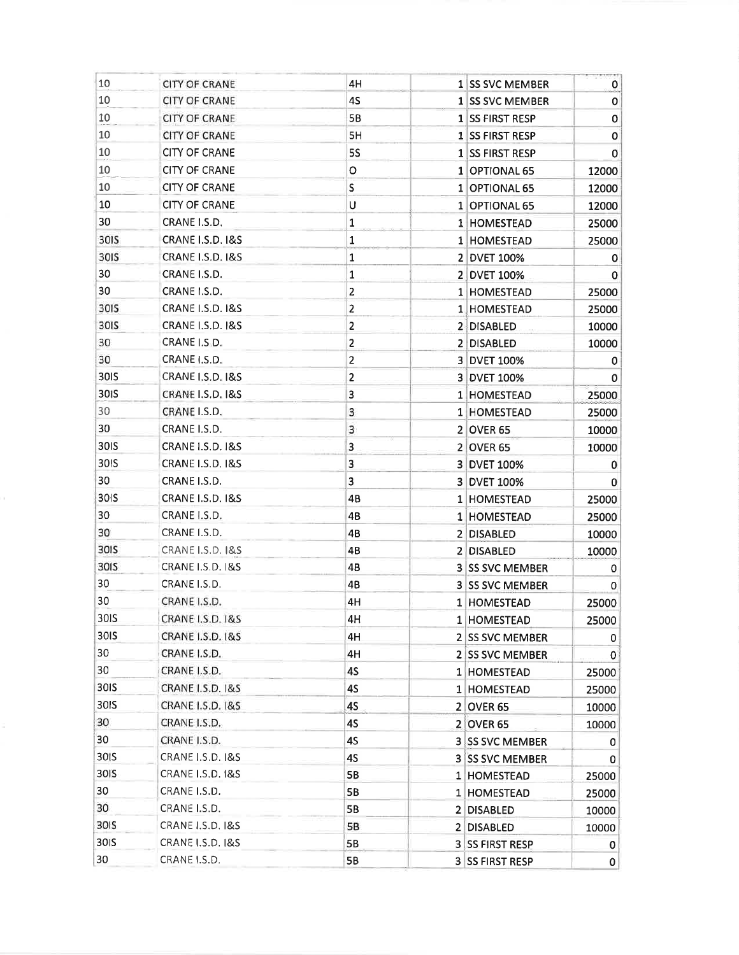| 10               | <b>CITY OF CRANE</b>        | 4H                      |              | <b>1 SS SVC MEMBER</b> | $\mathbf{0}$ |
|------------------|-----------------------------|-------------------------|--------------|------------------------|--------------|
| 10               | <b>CITY OF CRANE</b>        | 4S                      |              | 1 SS SVC MEMBER        | 0            |
| 10               | <b>CITY OF CRANE</b>        | 5B                      |              | 1 SS FIRST RESP        | 0            |
| 10               | <b>CITY OF CRANE</b>        | 5H                      |              | 1 SS FIRST RESP        | $\pmb{0}$    |
| 10               | <b>CITY OF CRANE</b>        | <b>5S</b>               |              | 1 SS FIRST RESP        | 0            |
| 10               | <b>CITY OF CRANE</b>        | $\circ$                 |              | 1 OPTIONAL 65          | 12000        |
| 10               | <b>CITY OF CRANE</b>        | S                       |              | 1 OPTIONAL 65          | 12000        |
| 10               | <b>CITY OF CRANE</b>        | U                       |              | 1 OPTIONAL 65          | 12000        |
| 30               | CRANE I.S.D.                | $\mathbf{1}$            |              | 1 HOMESTEAD            | 25000        |
| 30IS             | <b>CRANE I.S.D. 1&amp;S</b> | 1                       |              | 1 HOMESTEAD            | 25000        |
| 30IS             | <b>CRANE I.S.D. I&amp;S</b> | 1                       |              | 2 DVET 100%            | 0            |
| 30               | CRANE I.S.D.                | $\mathbf 1$             |              | 2 DVET 100%            | $\mathbf 0$  |
| 30               | CRANE I.S.D.                | $\mathbf{2}$            |              | 1 HOMESTEAD            | 25000        |
| 30 <sub>IS</sub> | CRANE I.S.D. I&S            | $\overline{\mathbf{c}}$ |              | 1 HOMESTEAD            | 25000        |
| 30IS             | <b>CRANE I.S.D. I&amp;S</b> | $\overline{2}$          |              | 2 DISABLED             | 10000        |
| 30               | CRANE I.S.D.                | $\overline{\mathbf{c}}$ |              | 2 DISABLED             | 10000        |
| 30               | CRANE I.S.D.                | $\overline{2}$          |              | 3 DVET 100%            | 0            |
| 30IS             | CRANE I.S.D. I&S            | $\overline{c}$          |              | 3 DVET 100%            | 0            |
| 30 <sub>IS</sub> | CRANE I.S.D. I&S            | 3                       |              | 1 HOMESTEAD            | 25000        |
| 30               | CRANE I.S.D.                | 3                       |              | 1 HOMESTEAD            | 25000        |
| 30               | CRANE I.S.D.                | 3                       | 2            | <b>OVER 65</b>         | 10000        |
| 30IS             | <b>CRANE 1.S.D. 1&amp;S</b> | 3                       |              | 2 OVER 65              | 10000        |
| 30IS             | <b>CRANE I.S.D. 1&amp;S</b> | 3                       |              | 3 DVET 100%            | 0            |
| 30               | CRANE I.S.D.                | 3                       |              | 3 DVET 100%            | 0            |
| 30 <sub>IS</sub> | <b>CRANE I.S.D. 1&amp;S</b> | 4B                      |              | 1 HOMESTEAD            | 25000        |
| 30               | CRANE I.S.D.                | 4B                      | $\mathbf{1}$ | <b>HOMESTEAD</b>       | 25000        |
| 30               | CRANE I.S.D.                | 4B                      |              | 2 DISABLED             | 10000        |
| 30IS             | <b>CRANE I.S.D. I&amp;S</b> | 4B                      |              | 2 DISABLED             | 10000        |
| 30IS             | <b>CRANE I.S.D. I&amp;S</b> | 4B                      |              | 3 SS SVC MEMBER        | 0            |
| 30               | CRANE I.S.D.                | 4B                      |              | 3 SS SVC MEMBER        | 0            |
| 30               | CRANE I.S.D.                | 4H                      |              | 1 HOMESTEAD            | 25000        |
| 30IS             | <b>CRANE I.S.D. I&amp;S</b> | 4H                      |              | 1 HOMESTEAD            | 25000        |
| 30IS             | <b>CRANE I.S.D. I&amp;S</b> | 4H                      |              | 2 SS SVC MEMBER        | 0            |
| 30               | CRANE I.S.D.                | 4H                      |              | 2 SS SVC MEMBER        | 0            |
| 30               | CRANE I.S.D.                | 4S                      |              | 1 HOMESTEAD            | 25000        |
| 30IS             | <b>CRANE I.S.D. 1&amp;S</b> | 45                      |              | 1 HOMESTEAD            | 25000        |
| 30IS             | CRANE I.S.D. I&S            | 4S                      |              | 2 OVER 65              | 10000        |
| 30               | CRANE I.S.D.                | 4S                      |              | 2 OVER 65              | 10000        |
| 30               | CRANE I.S.D.                | 4S                      |              | <b>3 SS SVC MEMBER</b> | 0            |
| 30 <sub>IS</sub> | CRANE I.S.D. 1&S            | 45                      |              | <b>3 SS SVC MEMBER</b> | 0            |
| 30 <sub>IS</sub> | <b>CRANE I.S.D. 1&amp;S</b> | 5B                      |              | 1 HOMESTEAD            | 25000        |
| 30               | CRANE I.S.D.                | 5B                      |              | 1 HOMESTEAD            | 25000        |
| 30               | CRANE I.S.D.                | 5B                      |              | 2 DISABLED             | 10000        |
| 30IS             | <b>CRANE I.S.D. 1&amp;S</b> | 5B                      |              | 2 DISABLED             | 10000        |
| 30 <sub>IS</sub> | <b>CRANE I.S.D. I&amp;S</b> | 5В                      |              | <b>3 SS FIRST RESP</b> | $\mathbf{0}$ |
| 30               | CRANE I.S.D.                | 5B                      |              | 3 SS FIRST RESP        | 0            |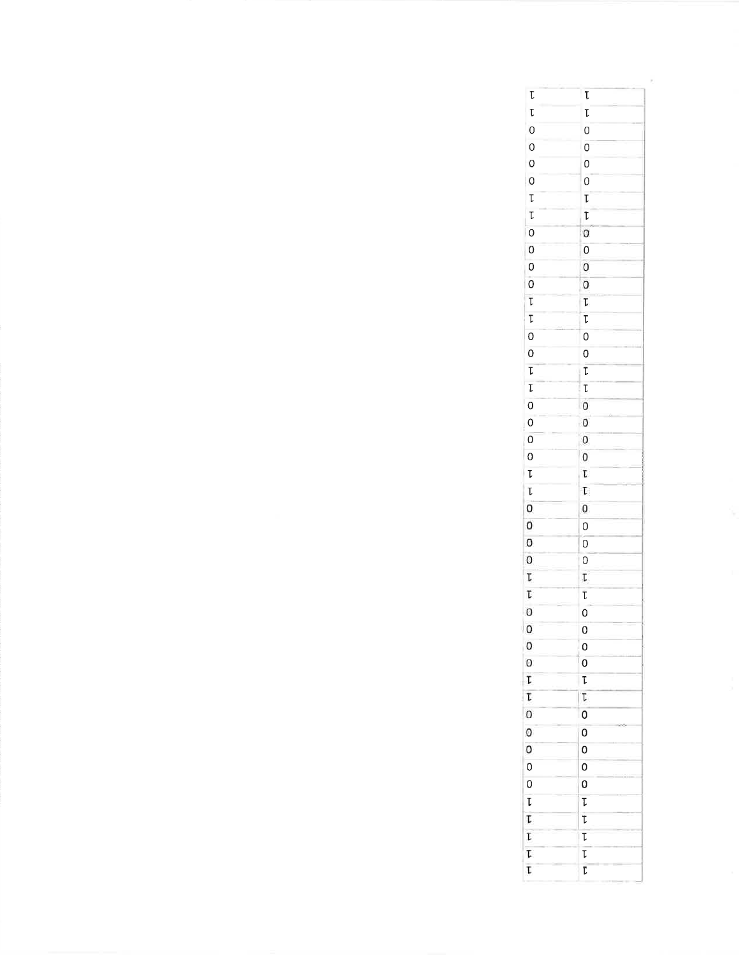| Ţ              | T,             |
|----------------|----------------|
| $\mathfrak{r}$ | T.             |
| $\circ$        | $\circ$        |
| 0              | $\overline{O}$ |
| O              | 0              |
| $\circ$        | 0              |
| T              | T              |
| T.             | T              |
| $\circ$        | 0              |
| 0              | $\overline{0}$ |
| 0              | O              |
| $\overline{0}$ | 0              |
| T              | T.             |
| T              | T              |
| 0              | 0              |
| O              | 0              |
| Ţ              | T              |
| T              | T              |
| $\overline{0}$ | o              |
| $\overline{0}$ | 0<br>î.        |
| O              | 0              |
| O              | 0              |
| T              | Ţ              |
| T              | $\mathbb{L}$   |
| 0              | 0              |
| 0              | $\overline{0}$ |
| 0              | $\overline{0}$ |
| 0              | $\overline{O}$ |
| Ţ              | T.             |
| T.             | T              |
| 0              | $\overline{O}$ |
| 0              | $\Omega$       |
| 0              | O              |
| 0              | $\overline{0}$ |
| T              | T              |
| T              | Ţ,             |
| 0              | 0              |
| 0              | 0              |
| 0              | 0              |
| 0              | 0              |
| $\overline{0}$ | 0              |
| T              | T              |
| T              | T              |
| T              | T              |
| T.             | $\overline{t}$ |
| t              | T              |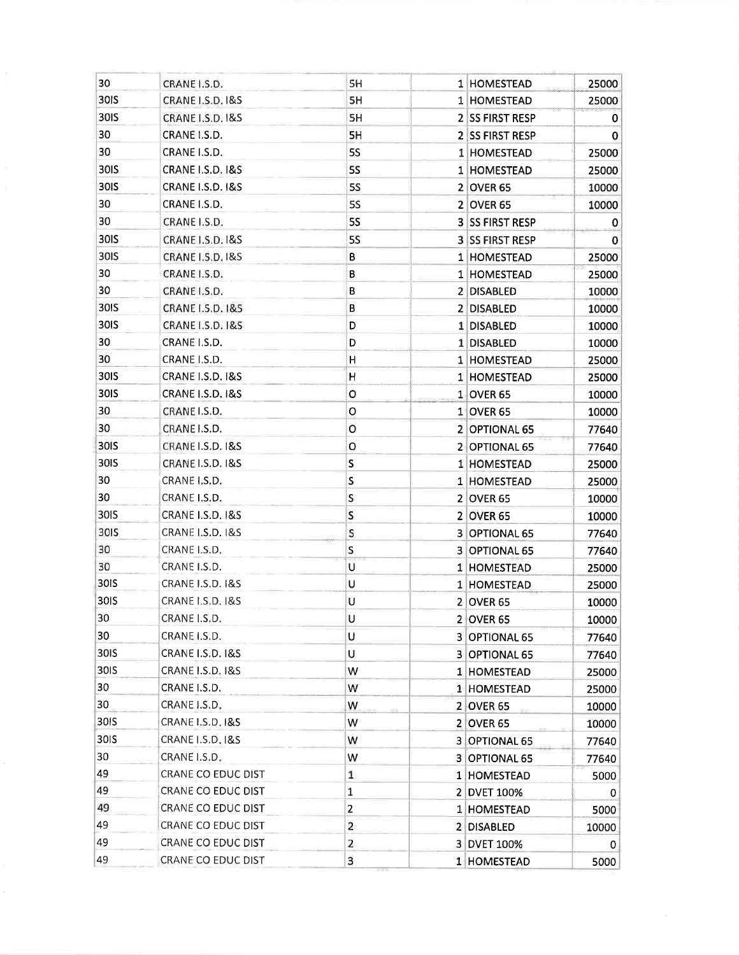| 30               | CRANE I.S.D.                | 5H             | 1 HOMESTEAD            | 25000        |
|------------------|-----------------------------|----------------|------------------------|--------------|
| 30IS             | CRANE I.S.D. I&S            | 5H             | 1 HOMESTEAD            | 25000        |
| <b>30IS</b>      | CRANE I.S.D. I&S            | 5H             | 2 SS FIRST RESP        | 0            |
| 30               | CRANE I.S.D.                | 5H             | 2 SS FIRST RESP        | 0            |
| 30               | CRANE I.S.D.                | <b>5S</b>      | 1 HOMESTEAD            | 25000        |
| 30IS             | <b>CRANE I.S.D. 1&amp;S</b> | <b>5S</b>      | 1 HOMESTEAD            | 25000        |
| 30IS             | <b>CRANE I.S.D. I&amp;S</b> | <b>5S</b>      | 2 OVER 65              | 10000        |
| 30               | CRANE I.S.D.                | <b>5S</b>      | <b>2 OVER 65</b>       | 10000        |
| 30               | CRANE I.S.D.                | <b>5S</b>      | <b>3 SS FIRST RESP</b> | $\mathbf 0$  |
| 30IS             | CRANE I.S.D. 1&S            | <b>5S</b>      | 3 SS FIRST RESP        | 0            |
| 30IS             | CRANE I.S.D. 1&S            | В              | 1 HOMESTEAD            | 25000        |
| 30               | CRANE I.S.D.                | B              | 1 HOMESTEAD            | 25000        |
| 30               | CRANE I.S.D.                | В              | 2 DISABLED             | 10000        |
| 30IS             | CRANE I.S.D. 1&S            | B              | 2 DISABLED             | 10000        |
| 30IS             | CRANE I.S.D. 1&S            | D              | 1 DISABLED             | 10000        |
| 30               | CRANE I.S.D.                | D              | 1 DISABLED             | 10000        |
| 30               | CRANE I.S.D.                | Н              | 1 HOMESTEAD            | 25000        |
| 30IS             | <b>CRANE I.S.D. 1&amp;S</b> | Н              | 1 HOMESTEAD            | 25000        |
| 30IS             | <b>CRANE I.S.D. 1&amp;S</b> | o              | 1 OVER 65              | 10000        |
| 30               | CRANE I.S.D.                | o              | 1 OVER 65              | 10000        |
| 30               | CRANE I.S.D.                | о              | 2 OPTIONAL 65          | 77640        |
| <b>30IS</b>      | CRANE I.S.D. 1&S            | о              | 2 OPTIONAL 65          | 77640        |
| 30IS             | <b>CRANE I.S.D. I&amp;S</b> | S              | 1 HOMESTEAD            | 25000        |
| 30               | CRANE I.S.D.                | S              | 1 HOMESTEAD            | 25000        |
| 30               | CRANE I.S.D.                | S              | <b>2 OVER 65</b>       | 10000        |
| 30IS             | <b>CRANE I.S.D. 1&amp;S</b> | S              | 2 OVER 65              | 10000        |
| 30IS             | <b>CRANE I.S.D. 1&amp;S</b> | S              | 3 OPTIONAL 65          | 77640        |
| 30               | CRANE I.S.D.                | ${\sf S}$      | 3 OPTIONAL 65          | 77640        |
| 30               | CRANE I.S.D.                | U              | 1 HOMESTEAD            | 25000        |
| 30 <sub>IS</sub> | <b>CRANE I.S.D. 1&amp;S</b> | U              | 1 HOMESTEAD            | 25000        |
| 30IS             | CRANE I.S.D. 1&S            | U              | $2$ OVER 65            | 10000        |
| 30               | CRANE I.S.D.                | U              | $2$ OVER 65            | 10000        |
| 30               | CRANE I.S.D.                | U              | 3 OPTIONAL 65          | 77640        |
| 30IS             | <b>CRANE I.S.D. 1&amp;S</b> | U              | 3 OPTIONAL 65          | 77640        |
| 30 <sub>IS</sub> | <b>CRANE I.S.D. I&amp;S</b> | W              | 1 HOMESTEAD            | 25000        |
| 30               | CRANE I.S.D.                | W              | 1 HOMESTEAD            | 25000        |
| 30               | CRANE I.S.D.                | W              | 2 OVER 65              | 10000        |
| 30IS             | CRANE I.S.D. I&S            | W              | 2 OVER 65              | 10000        |
| 30 <sub>IS</sub> | <b>CRANE I.S.D. I&amp;S</b> | W              | 3 OPTIONAL 65          | 77640        |
| 30               | CRANE I.S.D.                | W              | 3 OPTIONAL 65          | 77640        |
| 49               | CRANE CO EDUC DIST          | $\mathbf{1}$   | 1 HOMESTEAD            | 5000         |
| 49               | CRANE CO EDUC DIST          | $\mathbf 1$    | 2 DVET 100%            | $\mathbf 0$  |
| 49               | CRANE CO EDUC DIST          | $\overline{2}$ | 1 HOMESTEAD            | 5000         |
| 49               | CRANE CO EDUC DIST          | 2              | 2 DISABLED             | 10000        |
| 49               | CRANE CO EDUC DIST          | 2              | 3 DVET 100%            | $\mathbf{0}$ |
| 49               | CRANE CO EDUC DIST          | 3              | 1 HOMESTEAD            | 5000         |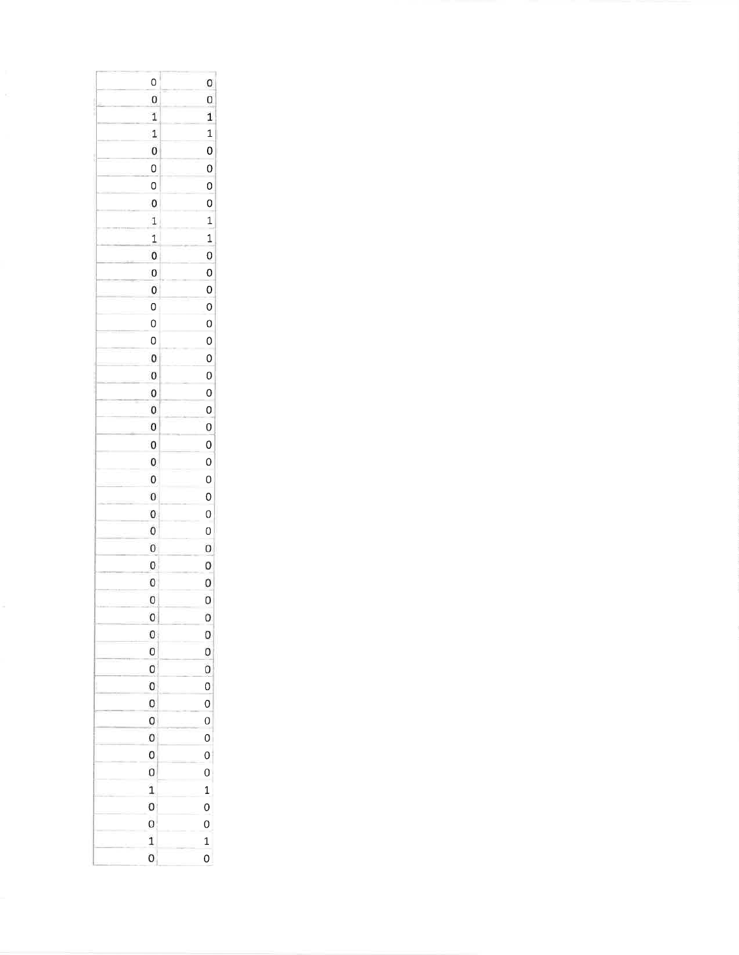| O                       | $\mathbf 0$    |
|-------------------------|----------------|
| 0                       | 0              |
| 1                       | 1              |
| $\mathbf{1}$            | $\mathbf{1}$   |
| 0                       | $\mathbf{0}$   |
| 0                       | $\mathsf{O}$   |
| $\circ$                 | $\overline{0}$ |
| $\mathbf{0}$            | $\circ$        |
| 1                       | $\mathbf{1}$   |
| 1                       | $\mathbf{1}$   |
| 0                       | $\circ$        |
| 0                       | $\mathbf{0}$   |
| 0                       | 0              |
| O                       | $\circ$        |
| $\circ$                 | $\circ$        |
|                         |                |
| 0                       | $\mathbf{0}$   |
| $\mathbf{0}$            | $\overline{0}$ |
| $\pmb{\mathsf{O}}$      | $\circ$        |
| $\mathbf{0}$            | $\circ$        |
| 0                       | $\circ$        |
| $\pmb{\mathsf{O}}$      | $\circ$        |
| $\boldsymbol{0}$        | $\mathbf{0}$   |
| 0                       | $\overline{O}$ |
| 0                       | $\circ$        |
| $\mathbf{0}$            | $\circ$        |
| 0                       | $\mathbf{0}$   |
| 0                       | $\circ$        |
| 0                       | 0              |
| 0                       | 0              |
| O                       | $\circ$        |
| $\circ$                 | $\circ$        |
| 0                       | 0              |
| 0                       | 0              |
| 0                       | 0              |
| O                       | $\mathbf{0}$   |
| 0                       | $\overline{0}$ |
| 0                       | $\circ$        |
| O                       | $\mathbf{0}$   |
| $\circ$                 | $\circ$        |
| 0                       | $\mathbf{0}$   |
| 0                       | $\circ$        |
| $\mathbf{1}$            | $\mathbf{1}$   |
| 0                       | $\mathbf{O}$   |
| 0                       | $\circ$        |
| $\overline{\mathbf{1}}$ | $\mathbf{1}$   |
| 0                       | $\mathbf{O}$   |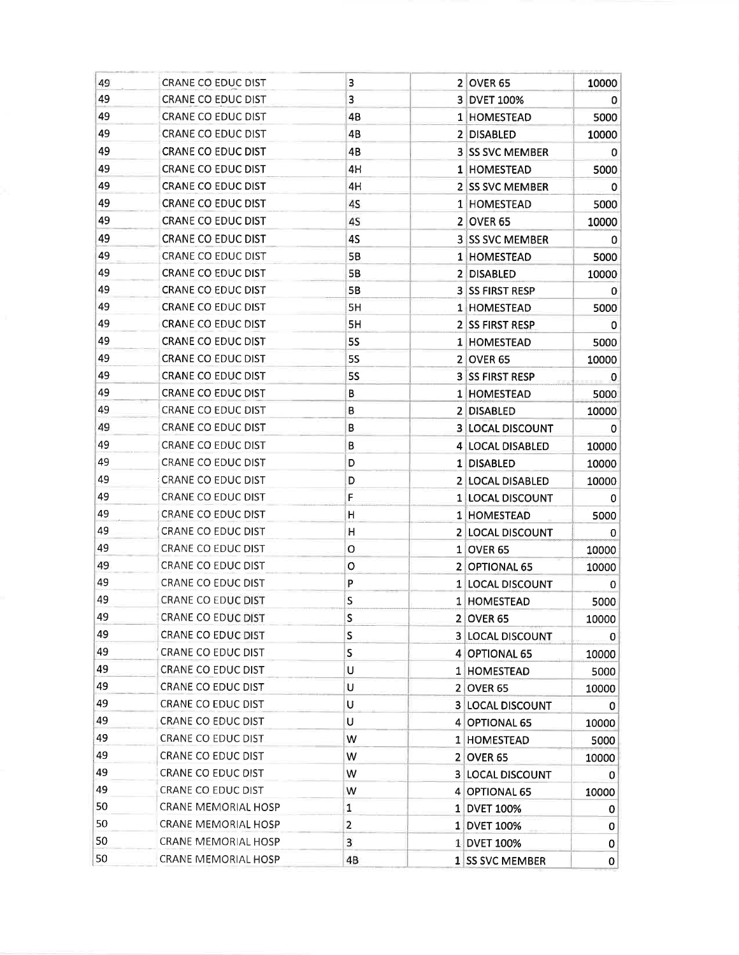| 49 | CRANE CO EDUC DIST        | 3              | 2 OVER 65               | 10000        |
|----|---------------------------|----------------|-------------------------|--------------|
| 49 | <b>CRANE CO EDUC DIST</b> | 3              | 3 DVET 100%             | 0            |
| 49 | CRANE CO EDUC DIST        | 4B             | 1 HOMESTEAD             | 5000         |
| 49 | CRANE CO EDUC DIST        | 4B             | 2 DISABLED              | 10000        |
| 49 | <b>CRANE CO EDUC DIST</b> | 4B             | <b>3 SS SVC MEMBER</b>  | $\mathbf{0}$ |
| 49 | <b>CRANE CO EDUC DIST</b> | 4H             | 1 HOMESTEAD             | 5000         |
| 49 | CRANE CO EDUC DIST        | 4H             | 2 SS SVC MEMBER         | 0            |
| 49 | CRANE CO EDUC DIST        | 4S             | 1 HOMESTEAD             | 5000         |
| 49 | CRANE CO EDUC DIST        | 4S             | <b>2 OVER 65</b>        | 10000        |
| 49 | CRANE CO EDUC DIST        | 4S             | <b>3 SS SVC MEMBER</b>  | 0            |
| 49 | CRANE CO EDUC DIST        | 5B             | 1 HOMESTEAD             | 5000         |
| 49 | CRANE CO EDUC DIST        | <b>5B</b>      | 2 DISABLED              | 10000        |
| 49 | CRANE CO EDUC DIST        | 5B             | 3 SS FIRST RESP         | 0            |
| 49 | CRANE CO EDUC DIST        | 5H             | 1 HOMESTEAD             | 5000         |
| 49 | CRANE CO EDUC DIST        | 5H             | 2 SS FIRST RESP         | 0            |
| 49 | CRANE CO EDUC DIST        | 55             | 1 HOMESTEAD             | 5000         |
| 49 | <b>CRANE CO EDUC DIST</b> | <b>5S</b>      | $2$ OVER 65             | 10000        |
| 49 | CRANE CO EDUC DIST        | <b>5S</b>      | <b>3 SS FIRST RESP</b>  | 0            |
| 49 | CRANE CO EDUC DIST        | В              | 1 HOMESTEAD             | 5000         |
| 49 | CRANE CO EDUC DIST        | B              | 2 DISABLED              | 10000        |
| 49 | CRANE CO EDUC DIST        | В              | <b>3 LOCAL DISCOUNT</b> | 0            |
| 49 | CRANE CO EDUC DIST        | В              | 4 LOCAL DISABLED        | 10000        |
| 49 | CRANE CO EDUC DIST        | D              | 1 DISABLED              | 10000        |
| 49 | CRANE CO EDUC DIST        | D              | 2 LOCAL DISABLED        | 10000        |
| 49 | CRANE CO EDUC DIST        | F              | 1 LOCAL DISCOUNT        | 0            |
| 49 | CRANE CO EDUC DIST        | н              | 1 HOMESTEAD             | 5000         |
| 49 | CRANE CO EDUC DIST        | H              | 2 LOCAL DISCOUNT        | $\mathbf 0$  |
| 49 | CRANE CO EDUC DIST        | O              | 1 OVER 65               | 10000        |
| 49 | CRANE CO EDUC DIST        | O              | 2 OPTIONAL 65           | 10000        |
| 49 | CRANE CO EDUC DIST        | P              | 1 LOCAL DISCOUNT        | 0            |
| 49 | CRANE CO EDUC DIST        | s              | 1 HOMESTEAD             | 5000         |
| 49 | CRANE CO EDUC DIST        | S              | 2 OVER 65               | 10000        |
| 49 | CRANE CO EDUC DIST        | S              | <b>3 LOCAL DISCOUNT</b> | 0            |
| 49 | CRANE CO EDUC DIST        | S              | 4 OPTIONAL 65           | 10000        |
| 49 | CRANE CO EDUC DIST        | U              | 1 HOMESTEAD             | 5000         |
| 49 | CRANE CO EDUC DIST        | U              | 2 OVER 65               | 10000        |
| 49 | CRANE CO EDUC DIST        | U              | 3 LOCAL DISCOUNT        | 0            |
| 49 | CRANE CO EDUC DIST        | U              | 4 OPTIONAL 65           | 10000        |
| 49 | CRANE CO EDUC DIST        | W              | 1 HOMESTEAD             | 5000         |
| 49 | CRANE CO EDUC DIST        | W              | 2 OVER 65               | 10000        |
| 49 | CRANE CO EDUC DIST        | W              | 3 LOCAL DISCOUNT        | 0            |
| 49 | CRANE CO EDUC DIST        | W              | 4 OPTIONAL 65           | 10000        |
| 50 | CRANE MEMORIAL HOSP       | $\mathbf{1}$   | 1 DVET 100%             | $\mathbf{0}$ |
| 50 | CRANE MEMORIAL HOSP       | $\overline{2}$ | 1 DVET 100%             | 0            |
| 50 | CRANE MEMORIAL HOSP       | 3              | 1 DVET 100%             | 0            |
| 50 | CRANE MEMORIAL HOSP       | 4B             | 1 SS SVC MEMBER         | 0            |
|    |                           |                |                         |              |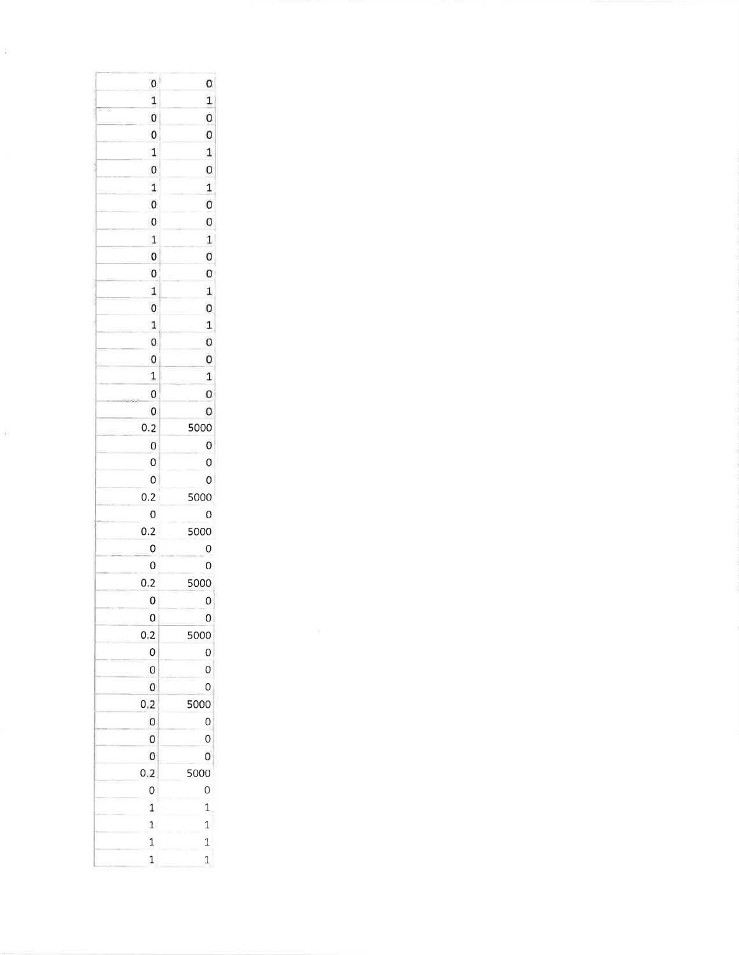| $\mathbf{0}$     | 0                 |
|------------------|-------------------|
| $\mathbf{1}$     | $\mathbf{1}$      |
| $\overline{0}$   | $\mathbf 0$       |
| $\boldsymbol{0}$ | $\pmb{0}$         |
| $\mathbf{1}$     | $\mathbf{1}$      |
| $\mathbf 0$      | $\mathbf 0$       |
| $\mathbf 1$      | $\mathbf 1$       |
| $\pmb{0}$        | $\mathbf 0$       |
| $\pmb{0}$        | $\pmb{0}$         |
| $\mathbf 1$      | $\mathbf{1}$      |
| $\pmb{0}$        | $\mathbf{0}$      |
| 0                | $\pmb{0}$         |
| $\mathbf{1}$     | $\mathbf{1}$      |
| $\mathbf{0}$     | 0                 |
| $\mathbf{1}$     | $\mathbf{1}$      |
| $\mathbf{0}$     | $\circ$           |
| $\mathbf{0}$     | 0                 |
| $\mathbf{1}$     | $\mathbf 1$       |
| $\pmb{0}$        | $\mathbf 0$       |
| 0                | 0                 |
| 0.2              | 5000              |
| $\mathbf{0}$     | 0                 |
| 0                | $\overline{0}$    |
| O                | 0                 |
| 0.2              | 5000              |
| O                | 0                 |
| 0.2              | 5000              |
| 0                | O                 |
| $\mathbf 0$      | O                 |
| 0.2              | 5000              |
| 0                | 0                 |
| 0                | 0                 |
| 0.2              | 5000              |
| 0                | 0                 |
| 0                | 0                 |
| 0                | O                 |
| 0.2              | 5000              |
| 0                |                   |
|                  | 0                 |
| 0<br>0           | $\mathbf{O}$<br>0 |
|                  |                   |
| 0.2              | 5000              |
| 0                | $\circ$           |
| 1                | $\mathbf{1}$      |
| $\mathbf{1}$     | $\mathbf{1}$      |
| $\mathbf{1}$     | $\mathbf{1}$      |
| $\mathbf{1}$     | $\mathbf{1}$      |

 $\frac{1}{2}$ 

 $\frac{1}{2}$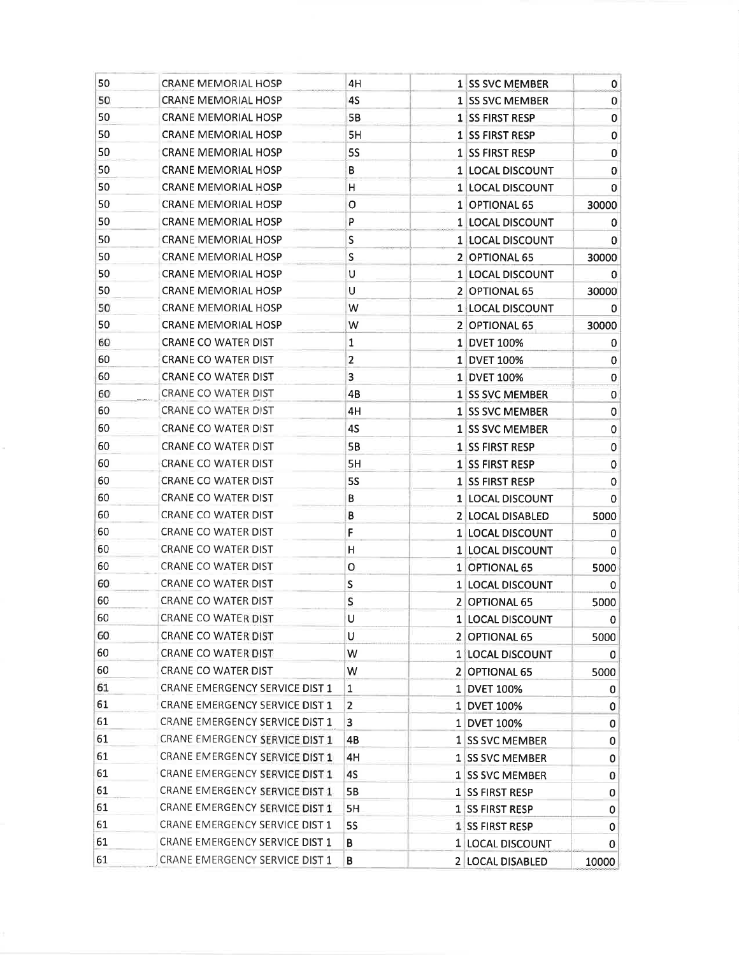| 50<br>4S<br><b>CRANE MEMORIAL HOSP</b><br>1 SS SVC MEMBER<br>$\mathbf{O}$<br>50<br>5B<br>$\pmb{0}$<br><b>CRANE MEMORIAL HOSP</b><br>1 SS FIRST RESP<br>50<br>5H<br>$\pmb{0}$<br><b>CRANE MEMORIAL HOSP</b><br>1 SS FIRST RESP<br>50<br><b>5S</b><br><b>CRANE MEMORIAL HOSP</b><br>$\mathbf 0$<br><b>1 SS FIRST RESP</b><br>50<br><b>CRANE MEMORIAL HOSP</b><br>В<br>1 LOCAL DISCOUNT<br>0<br>50<br><b>CRANE MEMORIAL HOSP</b><br>H<br>0<br>1 LOCAL DISCOUNT<br>50<br><b>CRANE MEMORIAL HOSP</b><br>o<br>1 OPTIONAL 65<br>30000<br>50<br>P<br><b>CRANE MEMORIAL HOSP</b><br>1 LOCAL DISCOUNT<br>0<br>50<br>S<br>CRANE MEMORIAL HOSP<br>1 LOCAL DISCOUNT<br>0<br>50<br><b>CRANE MEMORIAL HOSP</b><br>S<br>2 OPTIONAL 65<br>30000<br>U<br>50<br><b>CRANE MEMORIAL HOSP</b><br>1 LOCAL DISCOUNT<br>0<br>50<br>U<br>CRANE MEMORIAL HOSP<br>2 OPTIONAL 65<br>30000<br>50<br>W<br><b>CRANE MEMORIAL HOSP</b><br>1 LOCAL DISCOUNT<br>0<br>50<br>W<br><b>CRANE MEMORIAL HOSP</b><br>2 OPTIONAL 65<br>30000<br>60<br><b>CRANE CO WATER DIST</b><br>1<br>1 DVET 100%<br>0 |
|----------------------------------------------------------------------------------------------------------------------------------------------------------------------------------------------------------------------------------------------------------------------------------------------------------------------------------------------------------------------------------------------------------------------------------------------------------------------------------------------------------------------------------------------------------------------------------------------------------------------------------------------------------------------------------------------------------------------------------------------------------------------------------------------------------------------------------------------------------------------------------------------------------------------------------------------------------------------------------------------------------------------------------------------------------------|
|                                                                                                                                                                                                                                                                                                                                                                                                                                                                                                                                                                                                                                                                                                                                                                                                                                                                                                                                                                                                                                                                |
|                                                                                                                                                                                                                                                                                                                                                                                                                                                                                                                                                                                                                                                                                                                                                                                                                                                                                                                                                                                                                                                                |
|                                                                                                                                                                                                                                                                                                                                                                                                                                                                                                                                                                                                                                                                                                                                                                                                                                                                                                                                                                                                                                                                |
|                                                                                                                                                                                                                                                                                                                                                                                                                                                                                                                                                                                                                                                                                                                                                                                                                                                                                                                                                                                                                                                                |
|                                                                                                                                                                                                                                                                                                                                                                                                                                                                                                                                                                                                                                                                                                                                                                                                                                                                                                                                                                                                                                                                |
|                                                                                                                                                                                                                                                                                                                                                                                                                                                                                                                                                                                                                                                                                                                                                                                                                                                                                                                                                                                                                                                                |
|                                                                                                                                                                                                                                                                                                                                                                                                                                                                                                                                                                                                                                                                                                                                                                                                                                                                                                                                                                                                                                                                |
|                                                                                                                                                                                                                                                                                                                                                                                                                                                                                                                                                                                                                                                                                                                                                                                                                                                                                                                                                                                                                                                                |
|                                                                                                                                                                                                                                                                                                                                                                                                                                                                                                                                                                                                                                                                                                                                                                                                                                                                                                                                                                                                                                                                |
|                                                                                                                                                                                                                                                                                                                                                                                                                                                                                                                                                                                                                                                                                                                                                                                                                                                                                                                                                                                                                                                                |
|                                                                                                                                                                                                                                                                                                                                                                                                                                                                                                                                                                                                                                                                                                                                                                                                                                                                                                                                                                                                                                                                |
|                                                                                                                                                                                                                                                                                                                                                                                                                                                                                                                                                                                                                                                                                                                                                                                                                                                                                                                                                                                                                                                                |
|                                                                                                                                                                                                                                                                                                                                                                                                                                                                                                                                                                                                                                                                                                                                                                                                                                                                                                                                                                                                                                                                |
|                                                                                                                                                                                                                                                                                                                                                                                                                                                                                                                                                                                                                                                                                                                                                                                                                                                                                                                                                                                                                                                                |
|                                                                                                                                                                                                                                                                                                                                                                                                                                                                                                                                                                                                                                                                                                                                                                                                                                                                                                                                                                                                                                                                |
| $\overline{\mathbf{c}}$<br>60<br><b>CRANE CO WATER DIST</b><br>1 DVET 100%<br>0                                                                                                                                                                                                                                                                                                                                                                                                                                                                                                                                                                                                                                                                                                                                                                                                                                                                                                                                                                                |
| 60<br><b>CRANE CO WATER DIST</b><br>3<br>$\pmb{0}$<br>1 DVET 100%                                                                                                                                                                                                                                                                                                                                                                                                                                                                                                                                                                                                                                                                                                                                                                                                                                                                                                                                                                                              |
| 60<br>CRANE CO WATER DIST<br>4B<br>1 SS SVC MEMBER<br>0                                                                                                                                                                                                                                                                                                                                                                                                                                                                                                                                                                                                                                                                                                                                                                                                                                                                                                                                                                                                        |
| 60<br>CRANE CO WATER DIST<br>4H<br>$\pmb{0}$<br>1 SS SVC MEMBER                                                                                                                                                                                                                                                                                                                                                                                                                                                                                                                                                                                                                                                                                                                                                                                                                                                                                                                                                                                                |
| 60<br>4S<br>CRANE CO WATER DIST<br>0<br>1 SS SVC MEMBER                                                                                                                                                                                                                                                                                                                                                                                                                                                                                                                                                                                                                                                                                                                                                                                                                                                                                                                                                                                                        |
| 60<br>5B<br>CRANE CO WATER DIST<br>1 SS FIRST RESP<br>0                                                                                                                                                                                                                                                                                                                                                                                                                                                                                                                                                                                                                                                                                                                                                                                                                                                                                                                                                                                                        |
| 60<br>5H<br>CRANE CO WATER DIST<br>$\pmb{0}$<br>1 SS FIRST RESP                                                                                                                                                                                                                                                                                                                                                                                                                                                                                                                                                                                                                                                                                                                                                                                                                                                                                                                                                                                                |
| 60<br><b>CRANE CO WATER DIST</b><br><b>5S</b><br>1 SS FIRST RESP<br>0                                                                                                                                                                                                                                                                                                                                                                                                                                                                                                                                                                                                                                                                                                                                                                                                                                                                                                                                                                                          |
| 60<br>CRANE CO WATER DIST<br>В<br>$\mathbf 0$<br>1 LOCAL DISCOUNT                                                                                                                                                                                                                                                                                                                                                                                                                                                                                                                                                                                                                                                                                                                                                                                                                                                                                                                                                                                              |
| 60<br>CRANE CO WATER DIST<br>В<br>2 LOCAL DISABLED<br>5000                                                                                                                                                                                                                                                                                                                                                                                                                                                                                                                                                                                                                                                                                                                                                                                                                                                                                                                                                                                                     |
| 60<br>CRANE CO WATER DIST<br>F<br>1 LOCAL DISCOUNT<br>0                                                                                                                                                                                                                                                                                                                                                                                                                                                                                                                                                                                                                                                                                                                                                                                                                                                                                                                                                                                                        |
| 60<br>CRANE CO WATER DIST<br>н<br>1 LOCAL DISCOUNT<br>$\mathbf{0}$                                                                                                                                                                                                                                                                                                                                                                                                                                                                                                                                                                                                                                                                                                                                                                                                                                                                                                                                                                                             |
| 60<br>CRANE CO WATER DIST<br>о<br>1 OPTIONAL 65<br>5000                                                                                                                                                                                                                                                                                                                                                                                                                                                                                                                                                                                                                                                                                                                                                                                                                                                                                                                                                                                                        |
| 60<br>CRANE CO WATER DIST<br>$\sf S$<br>1 LOCAL DISCOUNT<br>0                                                                                                                                                                                                                                                                                                                                                                                                                                                                                                                                                                                                                                                                                                                                                                                                                                                                                                                                                                                                  |
| 60<br>CRANE CO WATER DIST<br>s<br>2 OPTIONAL 65<br>5000                                                                                                                                                                                                                                                                                                                                                                                                                                                                                                                                                                                                                                                                                                                                                                                                                                                                                                                                                                                                        |
| CRANE CO WATER DIST<br>60<br>υ<br>1 LOCAL DISCOUNT<br> 0                                                                                                                                                                                                                                                                                                                                                                                                                                                                                                                                                                                                                                                                                                                                                                                                                                                                                                                                                                                                       |
| 60<br><b>CRANE CO WATER DIST</b><br>U<br>2 OPTIONAL 65<br>5000                                                                                                                                                                                                                                                                                                                                                                                                                                                                                                                                                                                                                                                                                                                                                                                                                                                                                                                                                                                                 |
| 60<br><b>CRANE CO WATER DIST</b><br>W<br>1 LOCAL DISCOUNT<br>0                                                                                                                                                                                                                                                                                                                                                                                                                                                                                                                                                                                                                                                                                                                                                                                                                                                                                                                                                                                                 |
| 60<br>CRANE CO WATER DIST<br>W<br>2 OPTIONAL 65<br>5000                                                                                                                                                                                                                                                                                                                                                                                                                                                                                                                                                                                                                                                                                                                                                                                                                                                                                                                                                                                                        |
| 61<br>CRANE EMERGENCY SERVICE DIST 1<br>$\mathbf{1}$<br>1 DVET 100%<br>0                                                                                                                                                                                                                                                                                                                                                                                                                                                                                                                                                                                                                                                                                                                                                                                                                                                                                                                                                                                       |
| 61<br><b>CRANE EMERGENCY SERVICE DIST 1</b><br>$\overline{2}$<br>1 DVET 100%<br>0                                                                                                                                                                                                                                                                                                                                                                                                                                                                                                                                                                                                                                                                                                                                                                                                                                                                                                                                                                              |
| 61<br>CRANE EMERGENCY SERVICE DIST 1<br>3<br>1 DVET 100%<br>0                                                                                                                                                                                                                                                                                                                                                                                                                                                                                                                                                                                                                                                                                                                                                                                                                                                                                                                                                                                                  |
| 61<br>CRANE EMERGENCY SERVICE DIST 1<br>4B<br>1 SS SVC MEMBER<br>0                                                                                                                                                                                                                                                                                                                                                                                                                                                                                                                                                                                                                                                                                                                                                                                                                                                                                                                                                                                             |
| 61<br>CRANE EMERGENCY SERVICE DIST 1<br>4H<br>1 SS SVC MEMBER<br>0                                                                                                                                                                                                                                                                                                                                                                                                                                                                                                                                                                                                                                                                                                                                                                                                                                                                                                                                                                                             |
| 61<br><b>CRANE EMERGENCY SERVICE DIST 1</b><br>4S<br>1 SS SVC MEMBER<br>$\pmb{0}$                                                                                                                                                                                                                                                                                                                                                                                                                                                                                                                                                                                                                                                                                                                                                                                                                                                                                                                                                                              |
| 61<br>CRANE EMERGENCY SERVICE DIST 1<br><b>5B</b><br>1 SS FIRST RESP<br>0                                                                                                                                                                                                                                                                                                                                                                                                                                                                                                                                                                                                                                                                                                                                                                                                                                                                                                                                                                                      |
| 61<br>CRANE EMERGENCY SERVICE DIST 1<br>5H<br>1 SS FIRST RESP<br>0                                                                                                                                                                                                                                                                                                                                                                                                                                                                                                                                                                                                                                                                                                                                                                                                                                                                                                                                                                                             |
| 61<br>CRANE EMERGENCY SERVICE DIST 1<br><b>5S</b><br>1 SS FIRST RESP<br>$\mathbf 0$                                                                                                                                                                                                                                                                                                                                                                                                                                                                                                                                                                                                                                                                                                                                                                                                                                                                                                                                                                            |
| 61<br>CRANE EMERGENCY SERVICE DIST 1<br>В<br>1 LOCAL DISCOUNT<br>$\mathbf 0$                                                                                                                                                                                                                                                                                                                                                                                                                                                                                                                                                                                                                                                                                                                                                                                                                                                                                                                                                                                   |
| 61<br>CRANE EMERGENCY SERVICE DIST 1<br>В<br>2 LOCAL DISABLED<br>10000                                                                                                                                                                                                                                                                                                                                                                                                                                                                                                                                                                                                                                                                                                                                                                                                                                                                                                                                                                                         |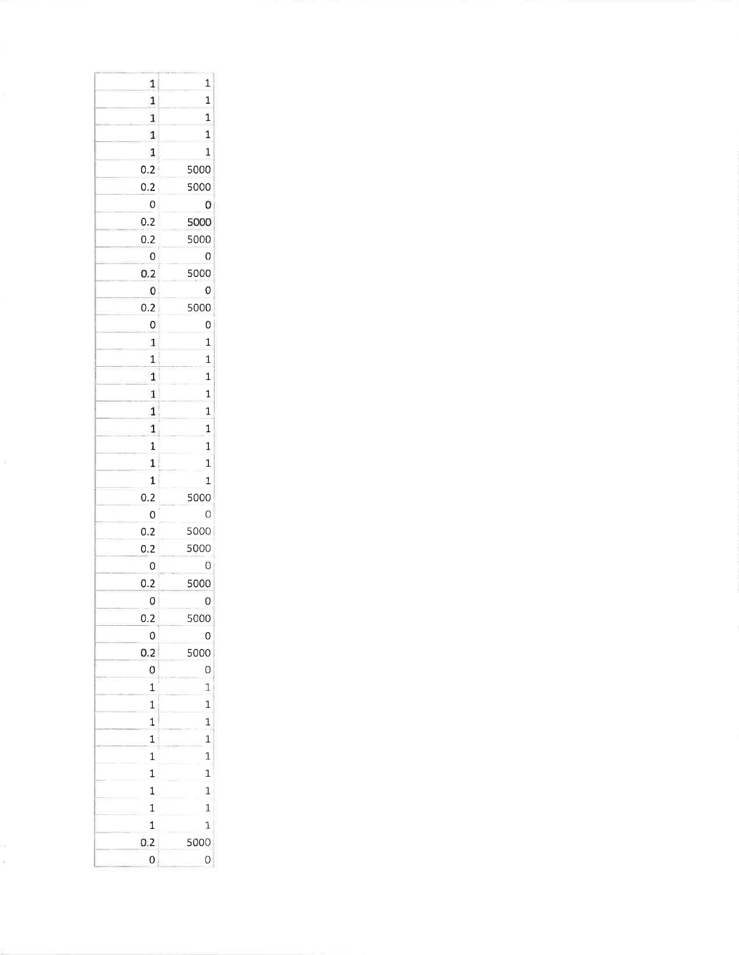| 1              | $\mathbf{1}$   |
|----------------|----------------|
| $\overline{1}$ | $\mathbf{1}$   |
| $\mathbf 1$    | $\mathbf{1}$   |
| $\mathbf{1}$   | $\mathbf{1}$   |
| 1              | $\mathbf{1}$   |
| 0.2            | 5000           |
| 0.2            | 5000           |
| 0              | 0              |
| 0.2            | 5000           |
| 0.2            | 5000           |
| 0              | 0              |
| 0.2            | 5000           |
| 0              | 0              |
| 0.2            | 5000           |
| 0              | 0              |
| $\mathbf 1$    | $\mathbf{1}$   |
| $\mathbf{1}$   | $\mathbf{1}$   |
| $\mathbf{1}$   | $\overline{1}$ |
| 1              | $\mathbf{1}$   |
| $\mathbf 1$    | $\overline{1}$ |
| 1              | $\mathbf{1}$   |
| $\mathbf{1}$   | $\mathbf{1}$   |
| $\mathbf 1$    | $\mathbf{1}$   |
| $\mathbf 1$    | $\mathbf{1}$   |
| 0.2            | 5000           |
| 0              | 0              |
| 0.2            | 5000           |
| 0.2            | 5000           |
| 0              | 0              |
| 0.2            | 5000           |
| 0              | O              |
| 0.2            | 5000           |
| 0              | 0              |
| 0.2            | 5000           |
| O              | O              |
| $\mathbf{1}$   | $\mathbf{1}$   |
| $\mathbf{1}$   | $\mathbf{1}$   |
| $\overline{1}$ | $\mathbf{1}$   |
| $\mathbf{1}$   | $\mathbf{1}$   |
| $\overline{1}$ | $\mathbf{1}$   |
| $\mathbf{1}$   | $\mathbf{1}$   |
| $\mathbf{1}$   | $\mathbf{1}$   |
| $\mathbf{1}$   | $\mathbf{1}$   |
| $\mathbf{1}$   | $\mathbf{1}$   |
| 0.2            | 5000           |
| 0              | 0              |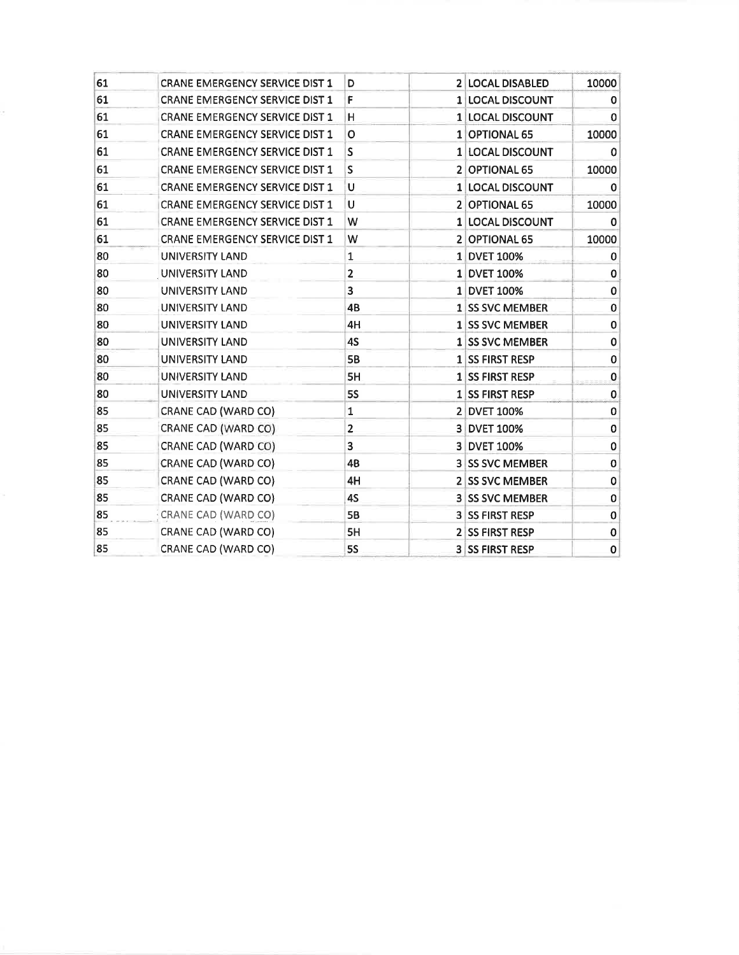| 61 | <b>CRANE EMERGENCY SERVICE DIST 1</b> | D                       | 2 LOCAL DISABLED       | 10000        |
|----|---------------------------------------|-------------------------|------------------------|--------------|
| 61 | <b>CRANE EMERGENCY SERVICE DIST 1</b> | F                       | 1 LOCAL DISCOUNT       | 0            |
| 61 | <b>CRANE EMERGENCY SERVICE DIST 1</b> | н                       | 1 LOCAL DISCOUNT       | 0            |
| 61 | <b>CRANE EMERGENCY SERVICE DIST 1</b> | O                       | 1 OPTIONAL 65          | 10000        |
| 61 | <b>CRANE EMERGENCY SERVICE DIST 1</b> | S                       | 1 LOCAL DISCOUNT       | 0            |
| 61 | <b>CRANE EMERGENCY SERVICE DIST 1</b> | S                       | 2 OPTIONAL 65          | 10000        |
| 61 | <b>CRANE EMERGENCY SERVICE DIST 1</b> | U                       | 1 LOCAL DISCOUNT       | 0            |
| 61 | <b>CRANE EMERGENCY SERVICE DIST 1</b> | U                       | 2 OPTIONAL 65          | 10000        |
| 61 | <b>CRANE EMERGENCY SERVICE DIST 1</b> | W                       | 1 LOCAL DISCOUNT       | 0            |
| 61 | <b>CRANE EMERGENCY SERVICE DIST 1</b> | W                       | 2 OPTIONAL 65          | 10000        |
| 80 | UNIVERSITY LAND                       | 1                       | 1 DVET 100%            | 0            |
| 80 | <b>UNIVERSITY LAND</b>                | $\overline{\mathbf{c}}$ | 1 DVET 100%            | $\mathbf 0$  |
| 80 | UNIVERSITY LAND                       | 3                       | 1 DVET 100%            | 0            |
| 80 | UNIVERSITY LAND                       | 4B                      | 1 SS SVC MEMBER        | 0            |
| 80 | <b>UNIVERSITY LAND</b>                | 4H                      | 1 SS SVC MEMBER        | $\mathbf 0$  |
| 80 | UNIVERSITY LAND                       | 4S                      | 1 SS SVC MEMBER        | $\mathbf 0$  |
| 80 | UNIVERSITY LAND                       | <b>5B</b>               | 1 SS FIRST RESP        | 0            |
| 80 | <b>UNIVERSITY LAND</b>                | 5H                      | 1 SS FIRST RESP        | $\mathbf{0}$ |
| 80 | <b>UNIVERSITY LAND</b>                | <b>5S</b>               | 1 SS FIRST RESP        | 0            |
| 85 | CRANE CAD (WARD CO)                   | 1                       | 2 DVET 100%            | $\mathbf 0$  |
| 85 | CRANE CAD (WARD CO)                   | $\overline{2}$          | 3 DVET 100%            | 0            |
| 85 | CRANE CAD (WARD CO)                   | 3                       | 3 DVET 100%            | 0            |
| 85 | CRANE CAD (WARD CO)                   | 4B                      | <b>3 SS SVC MEMBER</b> | 0            |
| 85 | CRANE CAD (WARD CO)                   | 4H                      | 2 SS SVC MEMBER        | $\mathbf 0$  |
| 85 | CRANE CAD (WARD CO)                   | 4S                      | <b>3 SS SVC MEMBER</b> | $\mathbf 0$  |
| 85 | CRANE CAD (WARD CO)                   | <b>5B</b>               | <b>3 SS FIRST RESP</b> | 0            |
| 85 | CRANE CAD (WARD CO)                   | 5H                      | 2 SS FIRST RESP        | $\mathbf 0$  |
| 85 | CRANE CAD (WARD CO)                   | <b>5S</b>               | <b>3 SS FIRST RESP</b> | $\mathbf 0$  |